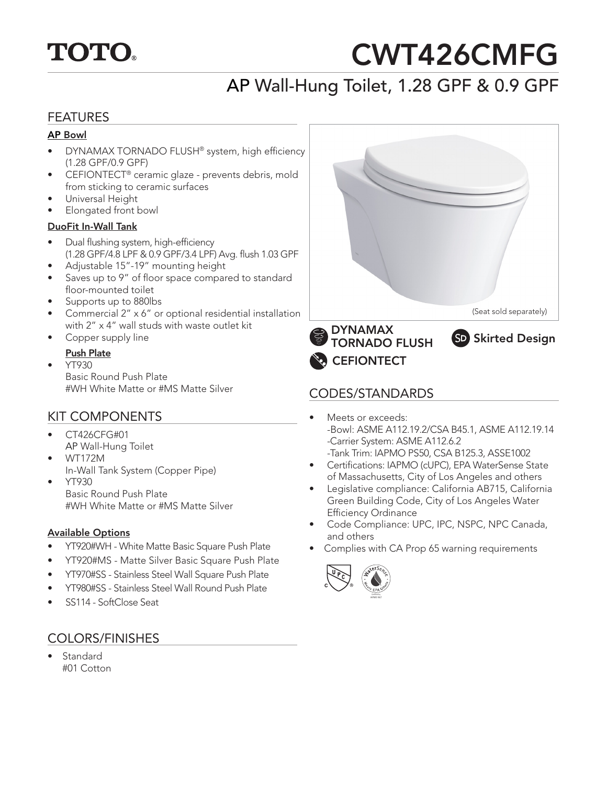

# CWT426CMFG

# AP Wall-Hung Toilet, 1.28 GPF & 0.9 GPF

#### FEATURES

#### AP Bowl

- DYNAMAX TORNADO FLUSH® system, high efficiency (1.28 GPF/0.9 GPF)
- CEFIONTECT® ceramic glaze prevents debris, mold from sticking to ceramic surfaces
- Universal Height
- Elongated front bowl

#### DuoFit In-Wall Tank

- Dual flushing system, high-efficiency (1.28 GPF/4.8 LPF & 0.9 GPF/3.4 LPF) Avg. flush 1.03 GPF
- Adjustable 15"-19" mounting height
- Saves up to 9" of floor space compared to standard floor-mounted toilet
- Supports up to 880lbs
- Commercial 2" x 6" or optional residential installation with 2" x 4" wall studs with waste outlet kit
- Copper supply line

#### Push Plate

• YT930 Basic Round Push Plate #WH White Matte or #MS Matte Silver CODES/STANDARDS

#### KIT COMPONENTS

- CT426CFG#01 AP Wall-Hung Toilet
- WT172M In-Wall Tank System (Copper Pipe)
- YT930 Basic Round Push Plate #WH White Matte or #MS Matte Silver

#### Available Options

- YT920#WH White Matte Basic Square Push Plate
- YT920#MS Matte Silver Basic Square Push Plate
- YT970#SS Stainless Steel Wall Square Push Plate
- YT980#SS Stainless Steel Wall Round Push Plate
- SS114 SoftClose Seat

#### COLORS/FINISHES

**Standard** #01 Cotton



- Meets or exceeds: -Bowl: ASME A112.19.2/CSA B45.1, ASME A112.19.14 -Carrier System: ASME A112.6.2 -Tank Trim: IAPMO PS50, CSA B125.3, ASSE1002
- Certifications: IAPMO (cUPC), EPA WaterSense State of Massachusetts, City of Los Angeles and others
- Legislative compliance: California AB715, California Green Building Code, City of Los Angeles Water Efficiency Ordinance
- Code Compliance: UPC, IPC, NSPC, NPC Canada, and others
- Complies with CA Prop 65 warning requirements

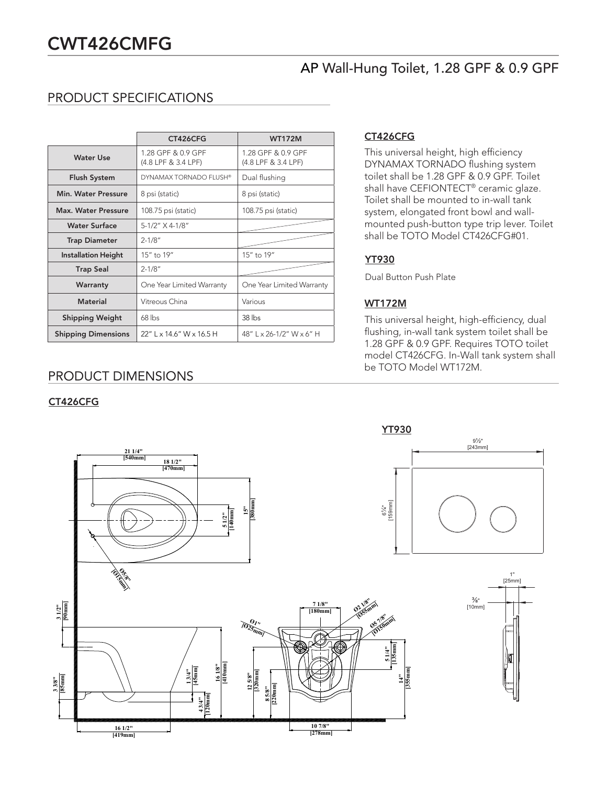### AP Wall-Hung Toilet, 1.28 GPF & 0.9 GPF

#### PRODUCT SPECIFICATIONS

|                            | CT426CFG                                  | <b>WT172M</b>                             |
|----------------------------|-------------------------------------------|-------------------------------------------|
| <b>Water Use</b>           | 1.28 GPF & 0.9 GPF<br>(4.8 LPF & 3.4 LPF) | 1.28 GPF & 0.9 GPF<br>(4.8 LPF & 3.4 LPF) |
| <b>Flush System</b>        | DYNAMAX TORNADO FLUSH®                    | Dual flushing                             |
| Min. Water Pressure        | 8 psi (static)                            | 8 psi (static)                            |
| Max. Water Pressure        | 108.75 psi (static)                       | 108.75 psi (static)                       |
| <b>Water Surface</b>       | 5-1/2" X 4-1/8"                           |                                           |
| <b>Trap Diameter</b>       | $2 - 1/8"$                                |                                           |
| <b>Installation Height</b> | 15" to 19"                                | 15" to 19"                                |
| <b>Trap Seal</b>           | $2 - 1/8"$                                |                                           |
| Warranty                   | One Year Limited Warranty                 | One Year Limited Warranty                 |
| <b>Material</b>            | Vitreous China                            | Various                                   |
| <b>Shipping Weight</b>     | $68$ lbs                                  | $38$ lbs                                  |
| <b>Shipping Dimensions</b> | 22" L x 14.6" W x 16.5 H                  | 48" L x 26-1/2" W x 6" H                  |

#### PRODUCT DIMENSIONS

#### CT426CFG

#### CT426CFG

This universal height, high efficiency DYNAMAX TORNADO flushing system toilet shall be 1.28 GPF & 0.9 GPF. Toilet shall have CEFIONTECT® ceramic glaze. Toilet shall be mounted to in-wall tank system, elongated front bowl and wallmounted push-button type trip lever. Toilet shall be TOTO Model CT426CFG#01.

#### YT930

Dual Button Push Plate

#### WT172M

This universal height, high-efficiency, dual flushing, in-wall tank system toilet shall be 1.28 GPF & 0.9 GPF. Requires TOTO toilet model CT426CFG. In-Wall tank system shall be TOTO Model WT172M.